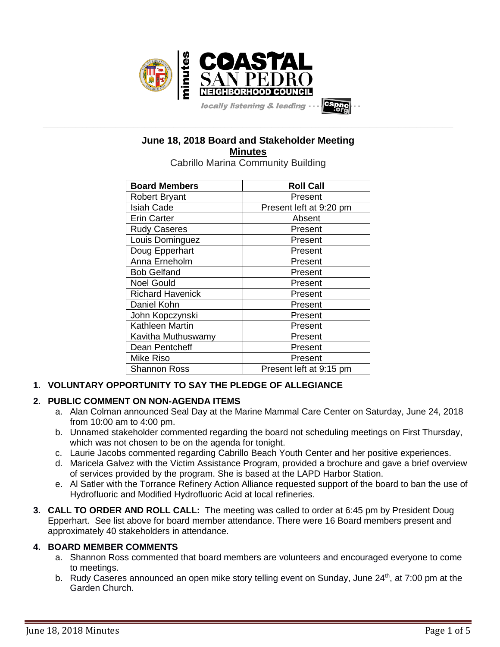

# **June 18, 2018 Board and Stakeholder Meeting Minutes**

**\_\_\_\_\_\_\_\_\_\_\_\_\_\_\_\_\_\_\_\_\_\_\_\_\_\_\_\_\_\_\_\_\_\_\_\_\_\_\_\_\_\_\_\_\_\_\_\_\_\_\_\_\_\_\_\_\_\_\_\_\_\_\_\_\_\_\_\_\_\_\_\_\_\_\_\_\_\_\_\_\_\_\_\_\_\_\_\_\_\_\_\_\_\_\_\_\_\_\_\_\_\_\_\_\_\_\_\_\_\_\_\_\_**

Cabrillo Marina Community Building

| <b>Board Members</b>    | <b>Roll Call</b>        |  |
|-------------------------|-------------------------|--|
| <b>Robert Bryant</b>    | Present                 |  |
| <b>Isiah Cade</b>       | Present left at 9:20 pm |  |
| <b>Erin Carter</b>      | Absent                  |  |
| <b>Rudy Caseres</b>     | Present                 |  |
| Louis Dominguez         | Present                 |  |
| Doug Epperhart          | Present                 |  |
| Anna Erneholm           | Present                 |  |
| <b>Bob Gelfand</b>      | Present                 |  |
| <b>Noel Gould</b>       | Present                 |  |
| <b>Richard Havenick</b> | Present                 |  |
| Daniel Kohn             | Present                 |  |
| John Kopczynski         | Present                 |  |
| Kathleen Martin         | Present                 |  |
| Kavitha Muthuswamy      | Present                 |  |
| Dean Pentcheff          | Present                 |  |
| Mike Riso               | Present                 |  |
| <b>Shannon Ross</b>     | Present left at 9:15 pm |  |

## **1. VOLUNTARY OPPORTUNITY TO SAY THE PLEDGE OF ALLEGIANCE**

## **2. PUBLIC COMMENT ON NON-AGENDA ITEMS**

- a. Alan Colman announced Seal Day at the Marine Mammal Care Center on Saturday, June 24, 2018 from 10:00 am to 4:00 pm.
- b. Unnamed stakeholder commented regarding the board not scheduling meetings on First Thursday, which was not chosen to be on the agenda for tonight.
- c. Laurie Jacobs commented regarding Cabrillo Beach Youth Center and her positive experiences.
- d. Maricela Galvez with the Victim Assistance Program, provided a brochure and gave a brief overview of services provided by the program. She is based at the LAPD Harbor Station.
- e. Al Satler with the Torrance Refinery Action Alliance requested support of the board to ban the use of Hydrofluoric and Modified Hydrofluoric Acid at local refineries.
- **3. CALL TO ORDER AND ROLL CALL:** The meeting was called to order at 6:45 pm by President Doug Epperhart. See list above for board member attendance. There were 16 Board members present and approximately 40 stakeholders in attendance.

## **4. BOARD MEMBER COMMENTS**

- a. Shannon Ross commented that board members are volunteers and encouraged everyone to come to meetings.
- b. Rudy Caseres announced an open mike story telling event on Sunday, June  $24<sup>th</sup>$ , at 7:00 pm at the Garden Church.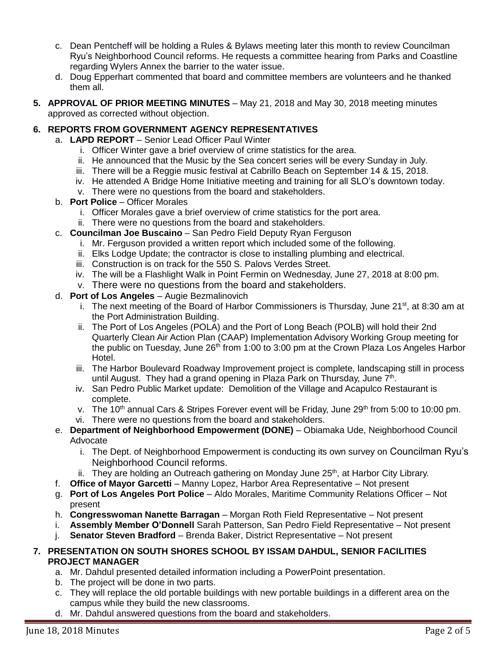- c. Dean Pentcheff will be holding a Rules & Bylaws meeting later this month to review Councilman Ryu's Neighborhood Council reforms. He requests a committee hearing from Parks and Coastline regarding Wylers Annex the barrier to the water issue.
- d. Doug Epperhart commented that board and committee members are volunteers and he thanked them all.
- **5. APPROVAL OF PRIOR MEETING MINUTES** May 21, 2018 and May 30, 2018 meeting minutes approved as corrected without objection.

## **6. REPORTS FROM GOVERNMENT AGENCY REPRESENTATIVES**

- a. **LAPD REPORT** Senior Lead Officer Paul Winter
	- i. Officer Winter gave a brief overview of crime statistics for the area.
	- ii. He announced that the Music by the Sea concert series will be every Sunday in July.
	- iii. There will be a Reggie music festival at Cabrillo Beach on September 14 & 15, 2018.
	- iv. He attended A Bridge Home Initiative meeting and training for all SLO's downtown today.
	- v. There were no questions from the board and stakeholders.
- b. **Port Police** Officer Morales
	- i. Officer Morales gave a brief overview of crime statistics for the port area.
	- ii. There were no questions from the board and stakeholders.
- c. **Councilman Joe Buscaino** San Pedro Field Deputy Ryan Ferguson
	- i. Mr. Ferguson provided a written report which included some of the following.
	- ii. Elks Lodge Update; the contractor is close to installing plumbing and electrical.
	- iii. Construction is on track for the 550 S. Palovs Verdes Street.
	- iv. The will be a Flashlight Walk in Point Fermin on Wednesday, June 27, 2018 at 8:00 pm.
	- v. There were no questions from the board and stakeholders.

## d. **Port of Los Angeles** – Augie Bezmalinovich

- i. The next meeting of the Board of Harbor Commissioners is Thursday, June  $21<sup>st</sup>$ , at 8:30 am at the Port Administration Building.
- ii. The Port of Los Angeles (POLA) and the Port of Long Beach (POLB) will hold their 2nd Quarterly Clean Air Action Plan (CAAP) Implementation Advisory Working Group meeting for the public on Tuesday, June  $26<sup>th</sup>$  from 1:00 to 3:00 pm at the Crown Plaza Los Angeles Harbor Hotel.
- iii. The Harbor Boulevard Roadway Improvement project is complete, landscaping still in process until August. They had a grand opening in Plaza Park on Thursday, June 7<sup>th</sup>.
- iv. San Pedro Public Market update: Demolition of the Village and Acapulco Restaurant is complete.
- v. The 10<sup>th</sup> annual Cars & Stripes Forever event will be Friday, June 29<sup>th</sup> from 5:00 to 10:00 pm.
- vi. There were no questions from the board and stakeholders.
- e. **Department of Neighborhood Empowerment (DONE)** Obiamaka Ude, Neighborhood Council Advocate
	- i. The Dept. of Neighborhood Empowerment is conducting its own survey on Councilman Ryu's Neighborhood Council reforms.
	- ii. They are holding an Outreach gathering on Monday June 25<sup>th</sup>, at Harbor City Library.
- f. **Office of Mayor Garcetti** Manny Lopez, Harbor Area Representative Not present
- g. **Port of Los Angeles Port Police** Aldo Morales, Maritime Community Relations Officer Not present
- h. **Congresswoman Nanette Barragan** Morgan Roth Field Representative Not present
- i. **Assembly Member O'Donnell** Sarah Patterson, San Pedro Field Representative Not present
- j. **Senator Steven Bradford** Brenda Baker, District Representative Not present

#### **7. PRESENTATION ON SOUTH SHORES SCHOOL BY ISSAM DAHDUL, SENIOR FACILITIES PROJECT MANAGER**

- a. Mr. Dahdul presented detailed information including a PowerPoint presentation.
- b. The project will be done in two parts.
- c. They will replace the old portable buildings with new portable buildings in a different area on the campus while they build the new classrooms.
- d. Mr. Dahdul answered questions from the board and stakeholders.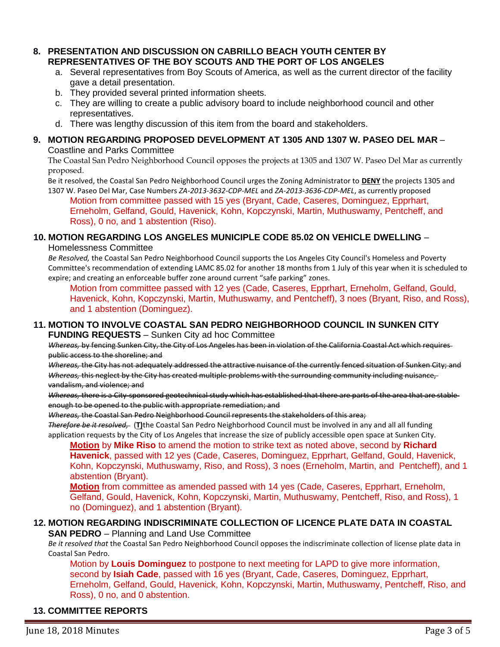#### **8. PRESENTATION AND DISCUSSION ON CABRILLO BEACH YOUTH CENTER BY REPRESENTATIVES OF THE BOY SCOUTS AND THE PORT OF LOS ANGELES**

- a. Several representatives from Boy Scouts of America, as well as the current director of the facility gave a detail presentation.
- b. They provided several printed information sheets.
- c. They are willing to create a public advisory board to include neighborhood council and other representatives.
- d. There was lengthy discussion of this item from the board and stakeholders.

#### **9. MOTION REGARDING PROPOSED DEVELOPMENT AT 1305 AND 1307 W. PASEO DEL MAR** – Coastline and Parks Committee

The Coastal San Pedro Neighborhood Council opposes the projects at 1305 and 1307 W. Paseo Del Mar as currently proposed.

Be it resolved, the Coastal San Pedro Neighborhood Council urges the Zoning Administrator to **DENY** the projects 1305 and 1307 W. Paseo Del Mar, Case Numbers *ZA-2013-3632-CDP-MEL* and *ZA-2013-3636-CDP-MEL*, as currently proposed

Motion from committee passed with 15 yes (Bryant, Cade, Caseres, Dominguez, Epprhart, Erneholm, Gelfand, Gould, Havenick, Kohn, Kopczynski, Martin, Muthuswamy, Pentcheff, and Ross), 0 no, and 1 abstention (Riso).

#### **10. MOTION REGARDING LOS ANGELES MUNICIPLE CODE 85.02 ON VEHICLE DWELLING** –

Homelessness Committee

*Be Resolved,* the Coastal San Pedro Neighborhood Council supports the Los Angeles City Council's Homeless and Poverty Committee's recommendation of extending LAMC 85.02 for another 18 months from 1 July of this year when it is scheduled to expire; and creating an enforceable buffer zone around current "safe parking" zones.

Motion from committee passed with 12 yes (Cade, Caseres, Epprhart, Erneholm, Gelfand, Gould, Havenick, Kohn, Kopczynski, Martin, Muthuswamy, and Pentcheff), 3 noes (Bryant, Riso, and Ross), and 1 abstention (Dominguez).

#### **11. MOTION TO INVOLVE COASTAL SAN PEDRO NEIGHBORHOOD COUNCIL IN SUNKEN CITY FUNDING REQUESTS** – Sunken City ad hoc Committee

*Whereas,* by fencing Sunken City, the City of Los Angeles has been in violation of the California Coastal Act which requires public access to the shoreline; and

*Whereas,* the City has not adequately addressed the attractive nuisance of the currently fenced situation of Sunken City; and *Whereas,* this neglect by the City has created multiple problems with the surrounding community including nuisance, vandalism, and violence; and

*Whereas,* there is a City-sponsored geotechnical study which has established that there are parts of the area that are stable enough to be opened to the public with appropriate remediation; and

*Whereas,* the Coastal San Pedro Neighborhood Council represents the stakeholders of this area;

*Therefore be it resolved,* (**T)**the Coastal San Pedro Neighborhood Council must be involved in any and all all funding application requests by the City of Los Angeles that increase the size of publicly accessible open space at Sunken City.

**Motion** by **Mike Riso** to amend the motion to strike text as noted above, second by **Richard Havenick**, passed with 12 yes (Cade, Caseres, Dominguez, Epprhart, Gelfand, Gould, Havenick, Kohn, Kopczynski, Muthuswamy, Riso, and Ross), 3 noes (Erneholm, Martin, and Pentcheff), and 1 abstention (Bryant).

**Motion** from committee as amended passed with 14 yes (Cade, Caseres, Epprhart, Erneholm, Gelfand, Gould, Havenick, Kohn, Kopczynski, Martin, Muthuswamy, Pentcheff, Riso, and Ross), 1 no (Dominguez), and 1 abstention (Bryant).

## **12. MOTION REGARDING INDISCRIMINATE COLLECTION OF LICENCE PLATE DATA IN COASTAL**

**SAN PEDRO** – Planning and Land Use Committee

*Be it resolved that* the Coastal San Pedro Neighborhood Council opposes the indiscriminate collection of license plate data in Coastal San Pedro.

Motion by **Louis Dominguez** to postpone to next meeting for LAPD to give more information, second by **Isiah Cade**, passed with 16 yes (Bryant, Cade, Caseres, Dominguez, Epprhart, Erneholm, Gelfand, Gould, Havenick, Kohn, Kopczynski, Martin, Muthuswamy, Pentcheff, Riso, and Ross), 0 no, and 0 abstention.

## **13. COMMITTEE REPORTS**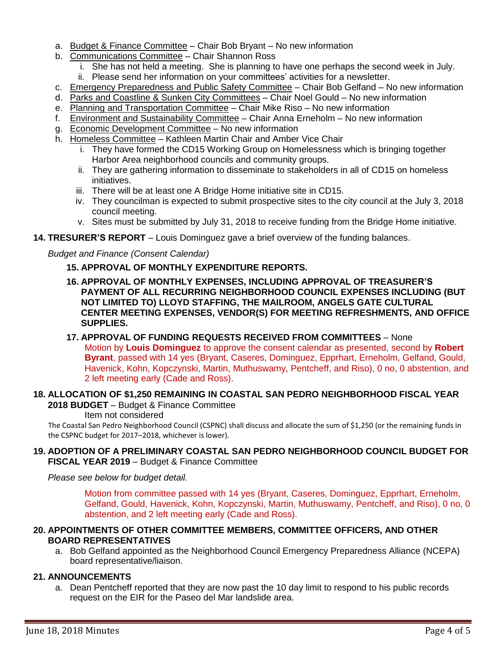- a. Budget & Finance Committee Chair Bob Bryant No new information
- b. Communications Committee Chair Shannon Ross
	- i. She has not held a meeting. She is planning to have one perhaps the second week in July.
	- ii. Please send her information on your committees' activities for a newsletter.
- c. Emergency Preparedness and Public Safety Committee Chair Bob Gelfand No new information
- d. Parks and Coastline & Sunken City Committees Chair Noel Gould No new information
- e. Planning and Transportation Committee Chair Mike Riso No new information
- f. Environment and Sustainability Committee Chair Anna Erneholm No new information
- g. Economic Development Committee No new information
- h. Homeless Committee Kathleen Martin Chair and Amber Vice Chair
	- i. They have formed the CD15 Working Group on Homelessness which is bringing together Harbor Area neighborhood councils and community groups.
	- ii. They are gathering information to disseminate to stakeholders in all of CD15 on homeless initiatives.
	- iii. There will be at least one A Bridge Home initiative site in CD15.
	- iv. They councilman is expected to submit prospective sites to the city council at the July 3, 2018 council meeting.
	- v. Sites must be submitted by July 31, 2018 to receive funding from the Bridge Home initiative.

## **14. TRESURER'S REPORT** – Louis Dominguez gave a brief overview of the funding balances.

## *Budget and Finance (Consent Calendar)*

## **15. APPROVAL OF MONTHLY EXPENDITURE REPORTS.**

- **16. APPROVAL OF MONTHLY EXPENSES, INCLUDING APPROVAL OF TREASURER'S PAYMENT OF ALL RECURRING NEIGHBORHOOD COUNCIL EXPENSES INCLUDING (BUT NOT LIMITED TO) LLOYD STAFFING, THE MAILROOM, ANGELS GATE CULTURAL CENTER MEETING EXPENSES, VENDOR(S) FOR MEETING REFRESHMENTS, AND OFFICE SUPPLIES.**
- **17. APPROVAL OF FUNDING REQUESTS RECEIVED FROM COMMITTEES** None Motion by **Louis Dominguez** to approve the consent calendar as presented, second by **Robert Byrant**, passed with 14 yes (Bryant, Caseres, Dominguez, Epprhart, Erneholm, Gelfand, Gould, Havenick, Kohn, Kopczynski, Martin, Muthuswamy, Pentcheff, and Riso), 0 no, 0 abstention, and 2 left meeting early (Cade and Ross).

#### **18. ALLOCATION OF \$1,250 REMAINING IN COASTAL SAN PEDRO NEIGHBORHOOD FISCAL YEAR 2018 BUDGET** – Budget & Finance Committee

Item not considered

The Coastal San Pedro Neighborhood Council (CSPNC) shall discuss and allocate the sum of \$1,250 (or the remaining funds in the CSPNC budget for 2017–2018, whichever is lower).

#### **19. ADOPTION OF A PRELIMINARY COASTAL SAN PEDRO NEIGHBORHOOD COUNCIL BUDGET FOR FISCAL YEAR 2019** – Budget & Finance Committee

*Please see below for budget detail.*

Motion from committee passed with 14 yes (Bryant, Caseres, Dominguez, Epprhart, Erneholm, Gelfand, Gould, Havenick, Kohn, Kopczynski, Martin, Muthuswamy, Pentcheff, and Riso), 0 no, 0 abstention, and 2 left meeting early (Cade and Ross).

#### **20. APPOINTMENTS OF OTHER COMMITTEE MEMBERS, COMMITTEE OFFICERS, AND OTHER BOARD REPRESENTATIVES**

a. Bob Gelfand appointed as the Neighborhood Council Emergency Preparedness Alliance (NCEPA) board representative/liaison.

#### **21. ANNOUNCEMENTS**

a. Dean Pentcheff reported that they are now past the 10 day limit to respond to his public records request on the EIR for the Paseo del Mar landslide area.